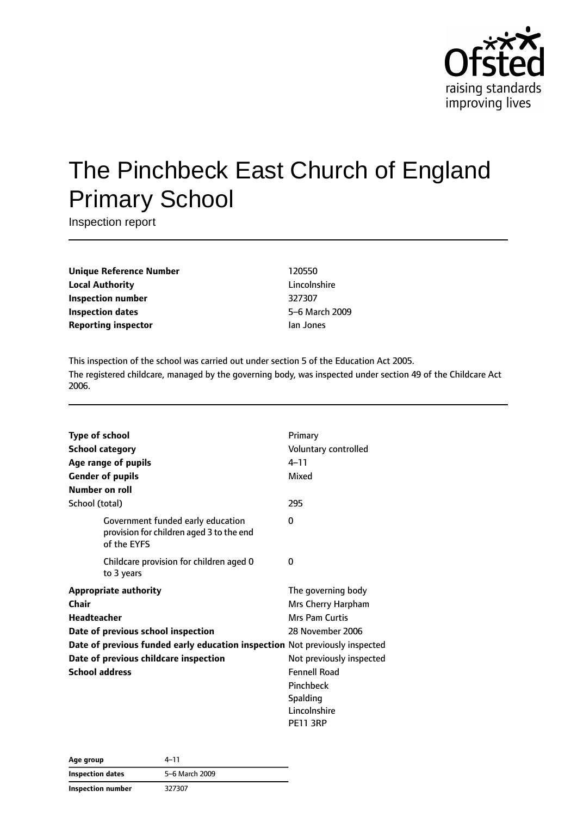

# The Pinchbeck East Church of England Primary School

Inspection report

**Unique Reference Number** 120550 **Local Authority** Lincolnshire **Inspection number** 327307 **Inspection dates** 5–6 March 2009 **Reporting inspector instance in the Ian Jones** 

This inspection of the school was carried out under section 5 of the Education Act 2005. The registered childcare, managed by the governing body, was inspected under section 49 of the Childcare Act 2006.

| Type of school<br><b>School category</b><br>Age range of pupils<br><b>Gender of pupils</b> |                                                                                              | Primary<br>Voluntary controlled<br>$4 - 11$<br>Mixed |
|--------------------------------------------------------------------------------------------|----------------------------------------------------------------------------------------------|------------------------------------------------------|
| Number on roll                                                                             |                                                                                              |                                                      |
| School (total)                                                                             |                                                                                              | 295                                                  |
|                                                                                            | Government funded early education<br>provision for children aged 3 to the end<br>of the EYFS | 0                                                    |
|                                                                                            | Childcare provision for children aged 0<br>to 3 years                                        | 0                                                    |
|                                                                                            | <b>Appropriate authority</b>                                                                 | The governing body                                   |
| Chair                                                                                      |                                                                                              | Mrs Cherry Harpham                                   |
| <b>Headteacher</b>                                                                         |                                                                                              | Mrs Pam Curtis                                       |
|                                                                                            | Date of previous school inspection                                                           | 28 November 2006                                     |
|                                                                                            | Date of previous funded early education inspection Not previously inspected                  |                                                      |
|                                                                                            | Date of previous childcare inspection                                                        | Not previously inspected                             |
| <b>School address</b>                                                                      |                                                                                              | <b>Fennell Road</b>                                  |
|                                                                                            |                                                                                              | Pinchbeck                                            |
|                                                                                            |                                                                                              | Spalding                                             |
|                                                                                            |                                                                                              | Lincolnshire                                         |
|                                                                                            |                                                                                              | <b>PE11 3RP</b>                                      |

| Age group         | 4–11<br>5-6 March 2009 |  |
|-------------------|------------------------|--|
| Inspection dates  |                        |  |
| Inspection number | 327307                 |  |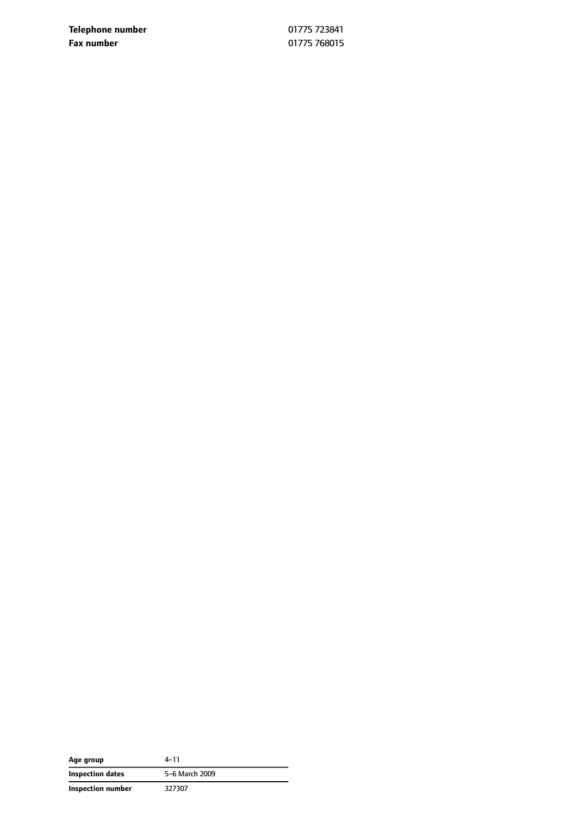**Telephone number** 01775 723841 **Fax number** 01775 768015

| Age group         | 4–11           |
|-------------------|----------------|
| Inspection dates  | 5-6 March 2009 |
| Inspection number | 327307         |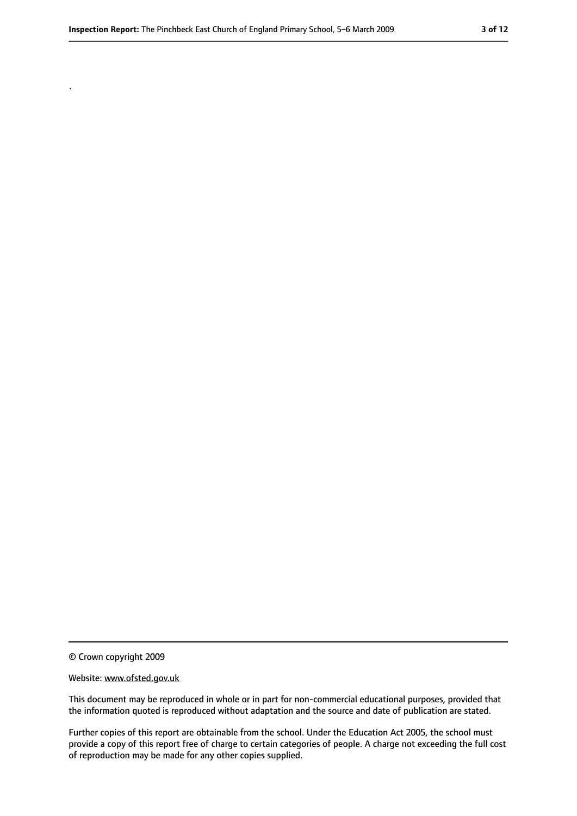.

<sup>©</sup> Crown copyright 2009

Website: www.ofsted.gov.uk

This document may be reproduced in whole or in part for non-commercial educational purposes, provided that the information quoted is reproduced without adaptation and the source and date of publication are stated.

Further copies of this report are obtainable from the school. Under the Education Act 2005, the school must provide a copy of this report free of charge to certain categories of people. A charge not exceeding the full cost of reproduction may be made for any other copies supplied.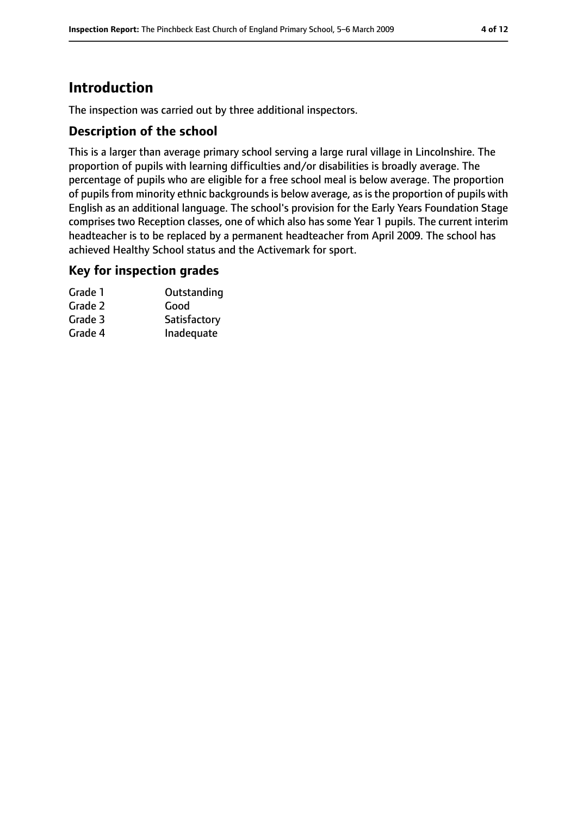# **Introduction**

The inspection was carried out by three additional inspectors.

## **Description of the school**

This is a larger than average primary school serving a large rural village in Lincolnshire. The proportion of pupils with learning difficulties and/or disabilities is broadly average. The percentage of pupils who are eligible for a free school meal is below average. The proportion of pupils from minority ethnic backgrounds is below average, as is the proportion of pupils with English as an additional language. The school's provision for the Early Years Foundation Stage comprises two Reception classes, one of which also has some Year 1 pupils. The current interim headteacher is to be replaced by a permanent headteacher from April 2009. The school has achieved Healthy School status and the Activemark for sport.

#### **Key for inspection grades**

| Grade 1 | Outstanding  |
|---------|--------------|
| Grade 2 | Good         |
| Grade 3 | Satisfactory |
| Grade 4 | Inadequate   |
|         |              |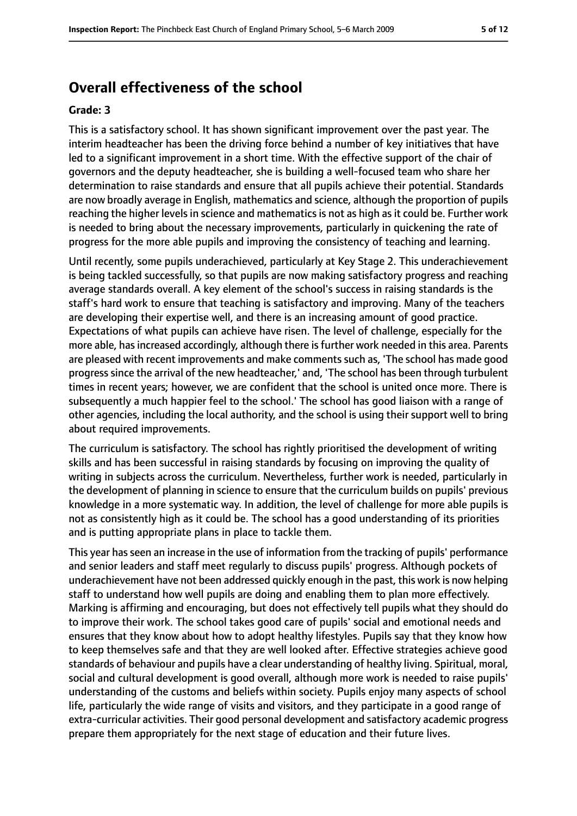# **Overall effectiveness of the school**

#### **Grade: 3**

This is a satisfactory school. It has shown significant improvement over the past year. The interim headteacher has been the driving force behind a number of key initiatives that have led to a significant improvement in a short time. With the effective support of the chair of governors and the deputy headteacher, she is building a well-focused team who share her determination to raise standards and ensure that all pupils achieve their potential. Standards are now broadly average in English, mathematics and science, although the proportion of pupils reaching the higher levels in science and mathematics is not as high as it could be. Further work is needed to bring about the necessary improvements, particularly in quickening the rate of progress for the more able pupils and improving the consistency of teaching and learning.

Until recently, some pupils underachieved, particularly at Key Stage 2. This underachievement is being tackled successfully, so that pupils are now making satisfactory progress and reaching average standards overall. A key element of the school's success in raising standards is the staff's hard work to ensure that teaching is satisfactory and improving. Many of the teachers are developing their expertise well, and there is an increasing amount of good practice. Expectations of what pupils can achieve have risen. The level of challenge, especially for the more able, has increased accordingly, although there is further work needed in this area. Parents are pleased with recent improvements and make comments such as, 'The school has made good progresssince the arrival of the new headteacher,' and, 'The school has been through turbulent times in recent years; however, we are confident that the school is united once more. There is subsequently a much happier feel to the school.' The school has good liaison with a range of other agencies, including the local authority, and the school is using their support well to bring about required improvements.

The curriculum is satisfactory. The school has rightly prioritised the development of writing skills and has been successful in raising standards by focusing on improving the quality of writing in subjects across the curriculum. Nevertheless, further work is needed, particularly in the development of planning in science to ensure that the curriculum builds on pupils' previous knowledge in a more systematic way. In addition, the level of challenge for more able pupils is not as consistently high as it could be. The school has a good understanding of its priorities and is putting appropriate plans in place to tackle them.

This year hasseen an increase in the use of information from the tracking of pupils' performance and senior leaders and staff meet regularly to discuss pupils' progress. Although pockets of underachievement have not been addressed quickly enough in the past, this work is now helping staff to understand how well pupils are doing and enabling them to plan more effectively. Marking is affirming and encouraging, but does not effectively tell pupils what they should do to improve their work. The school takes good care of pupils' social and emotional needs and ensures that they know about how to adopt healthy lifestyles. Pupils say that they know how to keep themselves safe and that they are well looked after. Effective strategies achieve good standards of behaviour and pupils have a clear understanding of healthy living. Spiritual, moral, social and cultural development is good overall, although more work is needed to raise pupils' understanding of the customs and beliefs within society. Pupils enjoy many aspects of school life, particularly the wide range of visits and visitors, and they participate in a good range of extra-curricular activities. Their good personal development and satisfactory academic progress prepare them appropriately for the next stage of education and their future lives.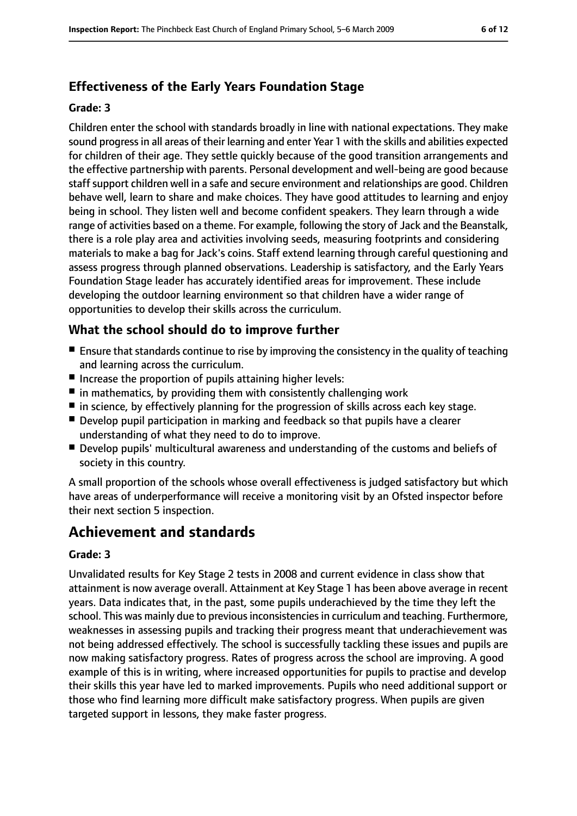# **Effectiveness of the Early Years Foundation Stage**

#### **Grade: 3**

Children enter the school with standards broadly in line with national expectations. They make sound progressin all areas of their learning and enter Year 1 with the skills and abilities expected for children of their age. They settle quickly because of the good transition arrangements and the effective partnership with parents. Personal development and well-being are good because staff support children well in a safe and secure environment and relationships are good. Children behave well, learn to share and make choices. They have good attitudes to learning and enjoy being in school. They listen well and become confident speakers. They learn through a wide range of activities based on a theme. For example, following the story of Jack and the Beanstalk, there is a role play area and activities involving seeds, measuring footprints and considering materials to make a bag for Jack's coins. Staff extend learning through careful questioning and assess progress through planned observations. Leadership is satisfactory, and the Early Years Foundation Stage leader has accurately identified areas for improvement. These include developing the outdoor learning environment so that children have a wider range of opportunities to develop their skills across the curriculum.

## **What the school should do to improve further**

- $\blacksquare$  Ensure that standards continue to rise by improving the consistency in the quality of teaching and learning across the curriculum.
- Increase the proportion of pupils attaining higher levels:
- $\blacksquare$  in mathematics, by providing them with consistently challenging work
- in science, by effectively planning for the progression of skills across each key stage.
- Develop pupil participation in marking and feedback so that pupils have a clearer understanding of what they need to do to improve.
- Develop pupils' multicultural awareness and understanding of the customs and beliefs of society in this country.

A small proportion of the schools whose overall effectiveness is judged satisfactory but which have areas of underperformance will receive a monitoring visit by an Ofsted inspector before their next section 5 inspection.

# **Achievement and standards**

#### **Grade: 3**

Unvalidated results for Key Stage 2 tests in 2008 and current evidence in class show that attainment is now average overall. Attainment at Key Stage 1 has been above average in recent years. Data indicates that, in the past, some pupils underachieved by the time they left the school. This was mainly due to previous inconsistencies in curriculum and teaching. Furthermore, weaknesses in assessing pupils and tracking their progress meant that underachievement was not being addressed effectively. The school is successfully tackling these issues and pupils are now making satisfactory progress. Rates of progress across the school are improving. A good example of this is in writing, where increased opportunities for pupils to practise and develop their skills this year have led to marked improvements. Pupils who need additional support or those who find learning more difficult make satisfactory progress. When pupils are given targeted support in lessons, they make faster progress.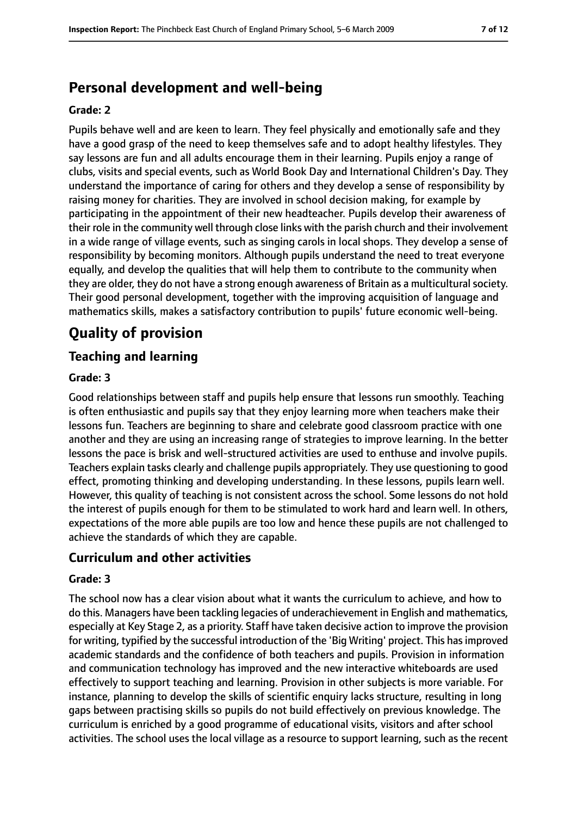# **Personal development and well-being**

#### **Grade: 2**

Pupils behave well and are keen to learn. They feel physically and emotionally safe and they have a good grasp of the need to keep themselves safe and to adopt healthy lifestyles. They say lessons are fun and all adults encourage them in their learning. Pupils enjoy a range of clubs, visits and special events, such as World Book Day and International Children's Day. They understand the importance of caring for others and they develop a sense of responsibility by raising money for charities. They are involved in school decision making, for example by participating in the appointment of their new headteacher. Pupils develop their awareness of their role in the community well through close links with the parish church and their involvement in a wide range of village events, such as singing carols in local shops. They develop a sense of responsibility by becoming monitors. Although pupils understand the need to treat everyone equally, and develop the qualities that will help them to contribute to the community when they are older, they do not have a strong enough awareness of Britain as a multicultural society. Their good personal development, together with the improving acquisition of language and mathematics skills, makes a satisfactory contribution to pupils' future economic well-being.

# **Quality of provision**

## **Teaching and learning**

#### **Grade: 3**

Good relationships between staff and pupils help ensure that lessons run smoothly. Teaching is often enthusiastic and pupils say that they enjoy learning more when teachers make their lessons fun. Teachers are beginning to share and celebrate good classroom practice with one another and they are using an increasing range of strategies to improve learning. In the better lessons the pace is brisk and well-structured activities are used to enthuse and involve pupils. Teachers explain tasks clearly and challenge pupils appropriately. They use questioning to good effect, promoting thinking and developing understanding. In these lessons, pupils learn well. However, this quality of teaching is not consistent across the school. Some lessons do not hold the interest of pupils enough for them to be stimulated to work hard and learn well. In others, expectations of the more able pupils are too low and hence these pupils are not challenged to achieve the standards of which they are capable.

#### **Curriculum and other activities**

#### **Grade: 3**

The school now has a clear vision about what it wants the curriculum to achieve, and how to do this. Managers have been tackling legacies of underachievement in English and mathematics, especially at Key Stage 2, as a priority. Staff have taken decisive action to improve the provision for writing, typified by the successful introduction of the 'Big Writing' project. This hasimproved academic standards and the confidence of both teachers and pupils. Provision in information and communication technology has improved and the new interactive whiteboards are used effectively to support teaching and learning. Provision in other subjects is more variable. For instance, planning to develop the skills of scientific enquiry lacks structure, resulting in long gaps between practising skills so pupils do not build effectively on previous knowledge. The curriculum is enriched by a good programme of educational visits, visitors and after school activities. The school uses the local village as a resource to support learning, such as the recent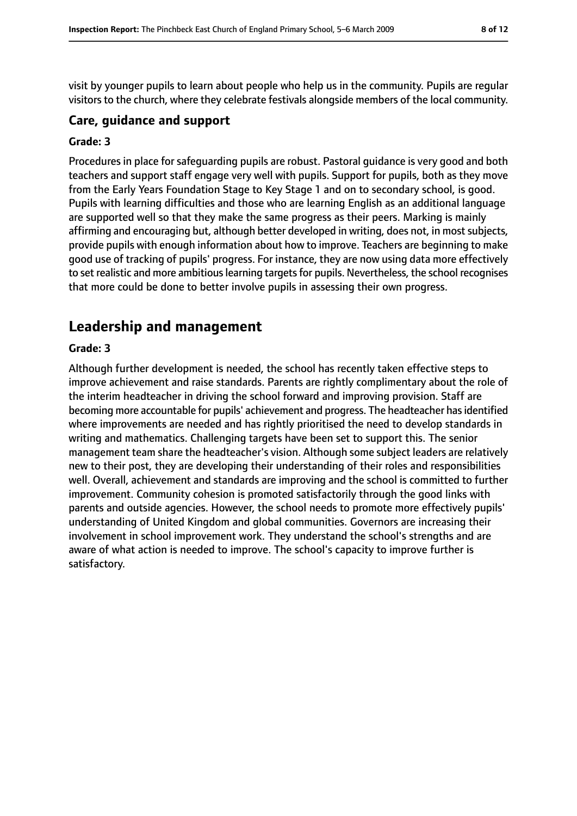visit by younger pupils to learn about people who help us in the community. Pupils are regular visitors to the church, where they celebrate festivals alongside members of the local community.

#### **Care, guidance and support**

#### **Grade: 3**

Procedures in place for safeguarding pupils are robust. Pastoral guidance is very good and both teachers and support staff engage very well with pupils. Support for pupils, both as they move from the Early Years Foundation Stage to Key Stage 1 and on to secondary school, is good. Pupils with learning difficulties and those who are learning English as an additional language are supported well so that they make the same progress as their peers. Marking is mainly affirming and encouraging but, although better developed in writing, does not, in most subjects, provide pupils with enough information about how to improve. Teachers are beginning to make good use of tracking of pupils' progress. For instance, they are now using data more effectively to set realistic and more ambitious learning targets for pupils. Nevertheless, the school recognises that more could be done to better involve pupils in assessing their own progress.

# **Leadership and management**

#### **Grade: 3**

Although further development is needed, the school has recently taken effective steps to improve achievement and raise standards. Parents are rightly complimentary about the role of the interim headteacher in driving the school forward and improving provision. Staff are becoming more accountable for pupils' achievement and progress. The headteacher has identified where improvements are needed and has rightly prioritised the need to develop standards in writing and mathematics. Challenging targets have been set to support this. The senior management team share the headteacher's vision. Although some subject leaders are relatively new to their post, they are developing their understanding of their roles and responsibilities well. Overall, achievement and standards are improving and the school is committed to further improvement. Community cohesion is promoted satisfactorily through the good links with parents and outside agencies. However, the school needs to promote more effectively pupils' understanding of United Kingdom and global communities. Governors are increasing their involvement in school improvement work. They understand the school's strengths and are aware of what action is needed to improve. The school's capacity to improve further is satisfactory.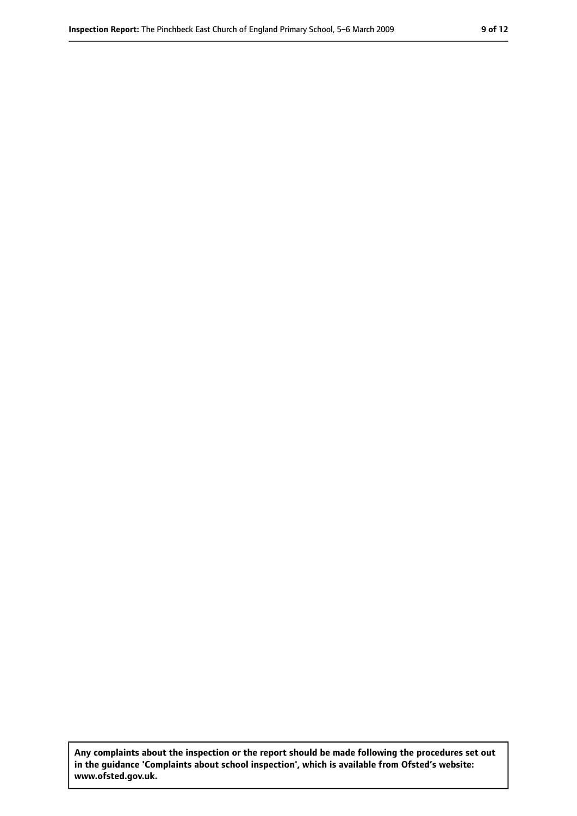**Any complaints about the inspection or the report should be made following the procedures set out in the guidance 'Complaints about school inspection', which is available from Ofsted's website: www.ofsted.gov.uk.**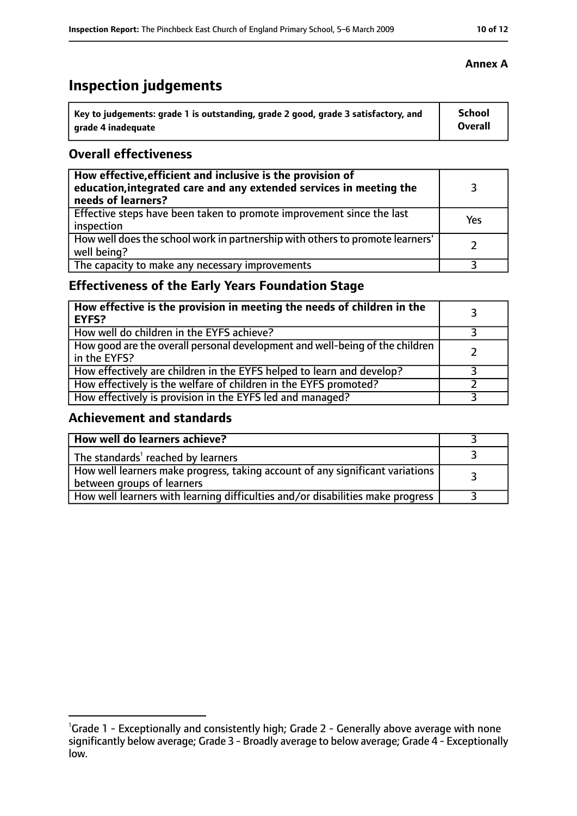# **Inspection judgements**

| Key to judgements: grade 1 is outstanding, grade 2 good, grade 3 satisfactory, and | <b>School</b>  |
|------------------------------------------------------------------------------------|----------------|
| arade 4 inadequate                                                                 | <b>Overall</b> |

## **Overall effectiveness**

| How effective, efficient and inclusive is the provision of<br>education, integrated care and any extended services in meeting the<br>needs of learners? |     |
|---------------------------------------------------------------------------------------------------------------------------------------------------------|-----|
| Effective steps have been taken to promote improvement since the last<br>inspection                                                                     | Yes |
| How well does the school work in partnership with others to promote learners'<br>well being?                                                            |     |
| The capacity to make any necessary improvements                                                                                                         |     |

# **Effectiveness of the Early Years Foundation Stage**

| How effective is the provision in meeting the needs of children in the<br><b>EYFS?</b>       |  |
|----------------------------------------------------------------------------------------------|--|
| How well do children in the EYFS achieve?                                                    |  |
| How good are the overall personal development and well-being of the children<br>in the EYFS? |  |
| How effectively are children in the EYFS helped to learn and develop?                        |  |
| How effectively is the welfare of children in the EYFS promoted?                             |  |
| How effectively is provision in the EYFS led and managed?                                    |  |

## **Achievement and standards**

| How well do learners achieve?                                                                               |  |
|-------------------------------------------------------------------------------------------------------------|--|
| The standards <sup>1</sup> reached by learners                                                              |  |
| How well learners make progress, taking account of any significant variations<br>between groups of learners |  |
| How well learners with learning difficulties and/or disabilities make progress                              |  |

## **Annex A**

<sup>&</sup>lt;sup>1</sup>Grade 1 - Exceptionally and consistently high; Grade 2 - Generally above average with none significantly below average; Grade 3 - Broadly average to below average; Grade 4 - Exceptionally low.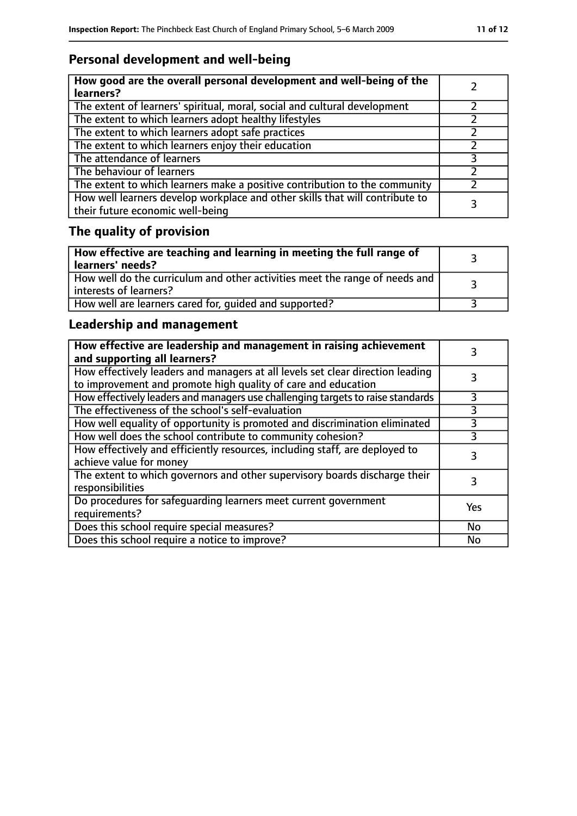# **Personal development and well-being**

| How good are the overall personal development and well-being of the<br>learners?                                 |  |
|------------------------------------------------------------------------------------------------------------------|--|
| The extent of learners' spiritual, moral, social and cultural development                                        |  |
| The extent to which learners adopt healthy lifestyles                                                            |  |
| The extent to which learners adopt safe practices                                                                |  |
| The extent to which learners enjoy their education                                                               |  |
| The attendance of learners                                                                                       |  |
| The behaviour of learners                                                                                        |  |
| The extent to which learners make a positive contribution to the community                                       |  |
| How well learners develop workplace and other skills that will contribute to<br>their future economic well-being |  |

# **The quality of provision**

| $\mid$ How effective are teaching and learning in meeting the full range of<br>  learners' needs?       |  |
|---------------------------------------------------------------------------------------------------------|--|
| How well do the curriculum and other activities meet the range of needs and<br>  interests of learners? |  |
| How well are learners cared for, quided and supported?                                                  |  |

# **Leadership and management**

| How effective are leadership and management in raising achievement<br>and supporting all learners?                                              |           |
|-------------------------------------------------------------------------------------------------------------------------------------------------|-----------|
| How effectively leaders and managers at all levels set clear direction leading<br>to improvement and promote high quality of care and education |           |
| How effectively leaders and managers use challenging targets to raise standards                                                                 | 3         |
| The effectiveness of the school's self-evaluation                                                                                               | 3         |
| How well equality of opportunity is promoted and discrimination eliminated                                                                      |           |
| How well does the school contribute to community cohesion?                                                                                      | 3         |
| How effectively and efficiently resources, including staff, are deployed to<br>achieve value for money                                          | 3         |
| The extent to which governors and other supervisory boards discharge their<br>responsibilities                                                  | 3         |
| Do procedures for safequarding learners meet current government<br>requirements?                                                                | Yes       |
| Does this school require special measures?                                                                                                      | No        |
| Does this school require a notice to improve?                                                                                                   | <b>No</b> |